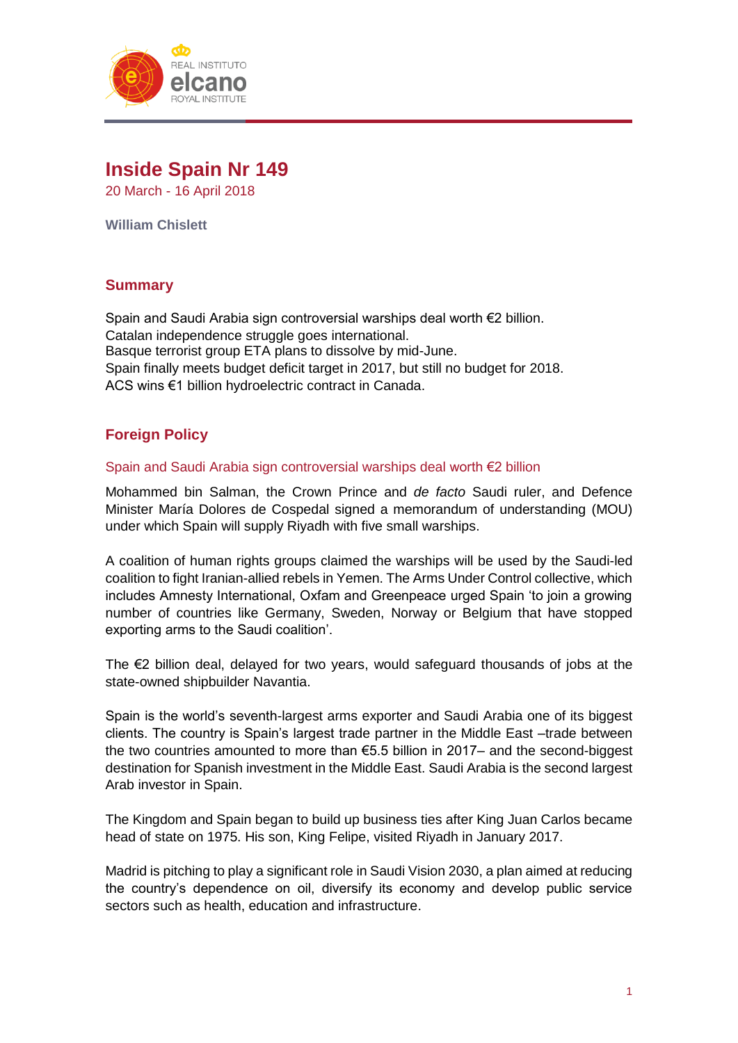

# **Inside Spain Nr 149**

20 March - 16 April 2018

**William Chislett**

# **Summary**

Spain and Saudi Arabia sign controversial warships deal worth €2 billion. Catalan independence struggle goes international. Basque terrorist group ETA plans to dissolve by mid-June. Spain finally meets budget deficit target in 2017, but still no budget for 2018. ACS wins €1 billion hydroelectric contract in Canada.

# **Foreign Policy**

#### Spain and Saudi Arabia sign controversial warships deal worth €2 billion

Mohammed bin Salman, the Crown Prince and *de facto* Saudi ruler, and Defence Minister María Dolores de Cospedal signed a memorandum of understanding (MOU) under which Spain will supply Riyadh with five small warships.

A coalition of human rights groups claimed the warships will be used by the Saudi-led coalition to fight Iranian-allied rebels in Yemen. The Arms Under Control collective, which includes Amnesty International, Oxfam and Greenpeace urged Spain 'to join a growing number of countries like Germany, Sweden, Norway or Belgium that have stopped exporting arms to the Saudi coalition'.

The €2 billion deal, delayed for two years, would safeguard thousands of jobs at the state-owned shipbuilder Navantia.

Spain is the world's seventh-largest arms exporter and Saudi Arabia one of its biggest clients. The country is Spain's largest trade partner in the Middle East –trade between the two countries amounted to more than €5.5 billion in 2017– and the second-biggest destination for Spanish investment in the Middle East. Saudi Arabia is the second largest Arab investor in Spain.

The Kingdom and Spain began to build up business ties after King Juan Carlos became head of state on 1975. His son, King Felipe, visited Riyadh in January 2017.

Madrid is pitching to play a significant role in Saudi Vision 2030, a plan aimed at reducing the country's dependence on oil, diversify its economy and develop public service sectors such as health, education and infrastructure.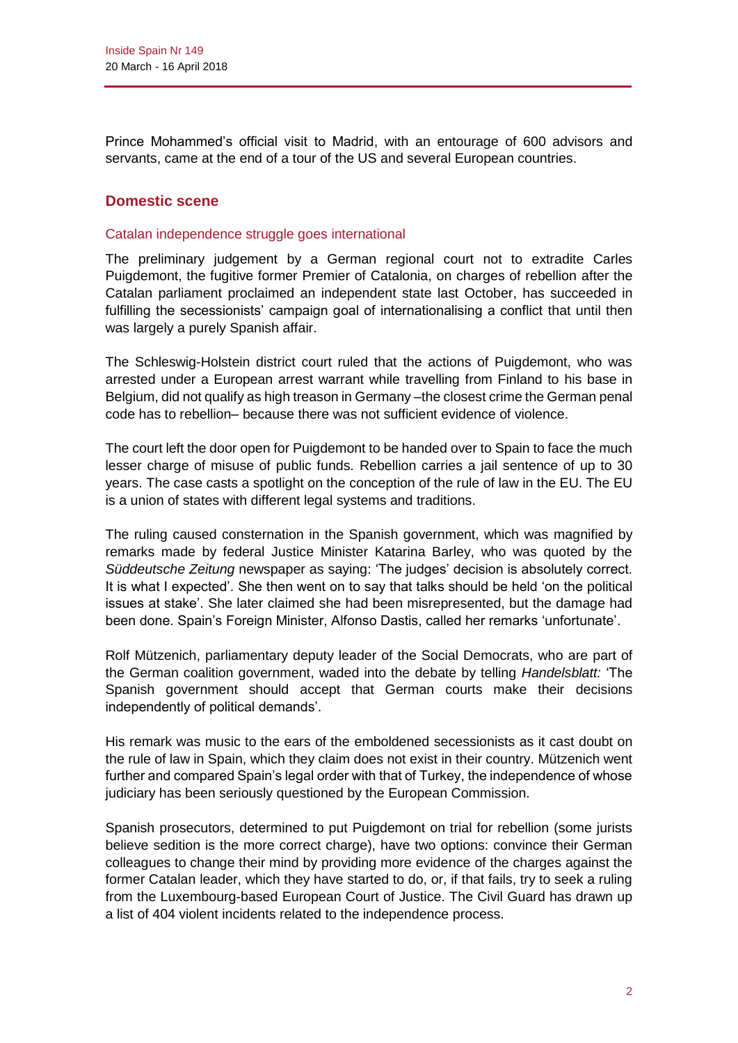Prince Mohammed's official visit to Madrid, with an entourage of 600 advisors and servants, came at the end of a tour of the US and several European countries.

# **Domestic scene**

#### Catalan independence struggle goes international

The preliminary judgement by a German regional court not to extradite Carles Puigdemont, the fugitive former Premier of Catalonia, on charges of rebellion after the Catalan parliament proclaimed an independent state last October, has succeeded in fulfilling the secessionists' campaign goal of internationalising a conflict that until then was largely a purely Spanish affair.

The Schleswig-Holstein district court ruled that the actions of Puigdemont, who was arrested under a European arrest warrant while travelling from Finland to his base in Belgium, did not qualify as high treason in Germany –the closest crime the German penal code has to rebellion– because there was not sufficient evidence of violence.

The court left the door open for Puigdemont to be handed over to Spain to face the much lesser charge of misuse of public funds. Rebellion carries a jail sentence of up to 30 years. The case casts a spotlight on the conception of the rule of law in the EU. The EU is a union of states with different legal systems and traditions.

The ruling caused consternation in the Spanish government, which was magnified by remarks made by federal Justice Minister Katarina Barley, who was quoted by the *Süddeutsche Zeitung* newspaper as saying: 'The judges' decision is absolutely correct. It is what I expected'. She then went on to say that talks should be held 'on the political issues at stake'. She later claimed she had been misrepresented, but the damage had been done. Spain's Foreign Minister, Alfonso Dastis, called her remarks 'unfortunate'.

Rolf Mützenich, parliamentary deputy leader of the Social Democrats, who are part of the German coalition government, waded into the debate by telling *Handelsblatt:* 'The Spanish government should accept that German courts make their decisions independently of political demands'.

His remark was music to the ears of the emboldened secessionists as it cast doubt on the rule of law in Spain, which they claim does not exist in their country. Mützenich went further and compared Spain's legal order with that of Turkey, the independence of whose judiciary has been seriously questioned by the European Commission.

Spanish prosecutors, determined to put Puigdemont on trial for rebellion (some jurists believe sedition is the more correct charge), have two options: convince their German colleagues to change their mind by providing more evidence of the charges against the former Catalan leader, which they have started to do, or, if that fails, try to seek a ruling from the Luxembourg-based European Court of Justice. The Civil Guard has drawn up a list of 404 violent incidents related to the independence process.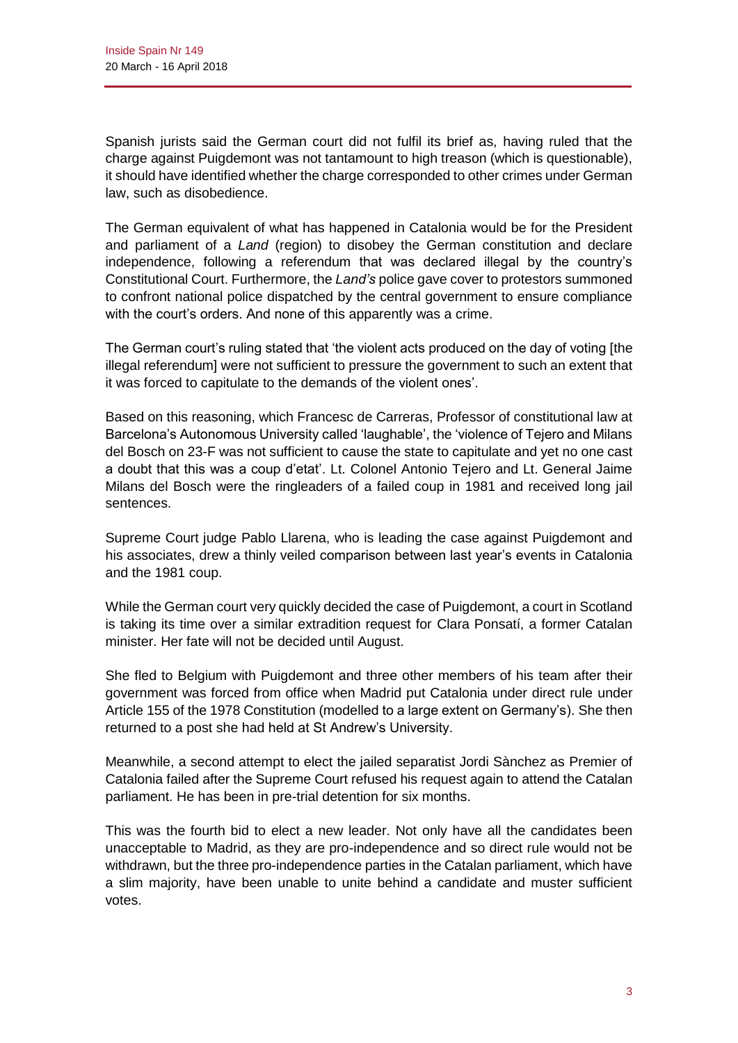Spanish jurists said the German court did not fulfil its brief as, having ruled that the charge against Puigdemont was not tantamount to high treason (which is questionable), it should have identified whether the charge corresponded to other crimes under German law, such as disobedience.

The German equivalent of what has happened in Catalonia would be for the President and parliament of a *Land* (region) to disobey the German constitution and declare independence, following a referendum that was declared illegal by the country's Constitutional Court. Furthermore, the *Land's* police gave cover to protestors summoned to confront national police dispatched by the central government to ensure compliance with the court's orders. And none of this apparently was a crime.

The German court's ruling stated that 'the violent acts produced on the day of voting [the illegal referendum] were not sufficient to pressure the government to such an extent that it was forced to capitulate to the demands of the violent ones'.

Based on this reasoning, which Francesc de Carreras, Professor of constitutional law at Barcelona's Autonomous University called 'laughable', the 'violence of Tejero and Milans del Bosch on 23-F was not sufficient to cause the state to capitulate and yet no one cast a doubt that this was a coup d'etat'. Lt. Colonel Antonio Tejero and Lt. General Jaime Milans del Bosch were the ringleaders of a failed coup in 1981 and received long jail sentences.

Supreme Court judge Pablo Llarena, who is leading the case against Puigdemont and his associates, drew a thinly veiled comparison between last year's events in Catalonia and the 1981 coup.

While the German court very quickly decided the case of Puigdemont, a court in Scotland is taking its time over a similar extradition request for Clara Ponsatí, a former Catalan minister. Her fate will not be decided until August.

She fled to Belgium with Puigdemont and three other members of his team after their government was forced from office when Madrid put Catalonia under direct rule under Article 155 of the 1978 Constitution (modelled to a large extent on Germany's). She then returned to a post she had held at St Andrew's University.

Meanwhile, a second attempt to elect the jailed separatist Jordi Sànchez as Premier of Catalonia failed after the Supreme Court refused his request again to attend the Catalan parliament. He has been in pre-trial detention for six months.

This was the fourth bid to elect a new leader. Not only have all the candidates been unacceptable to Madrid, as they are pro-independence and so direct rule would not be withdrawn, but the three pro-independence parties in the Catalan parliament, which have a slim majority, have been unable to unite behind a candidate and muster sufficient votes.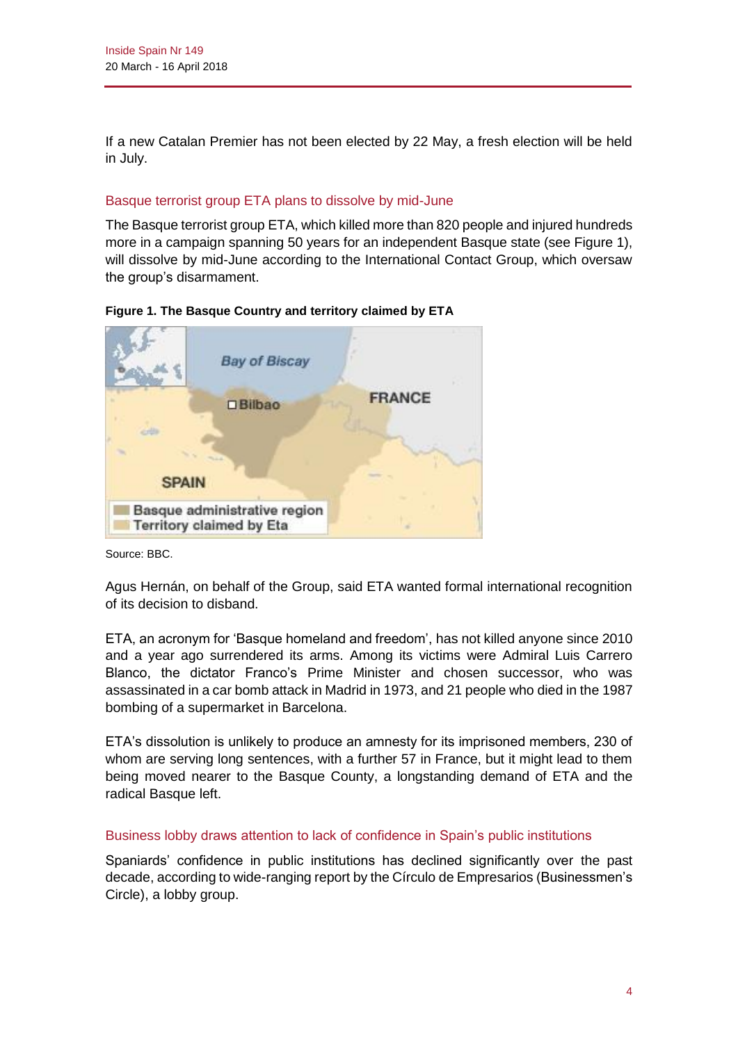If a new Catalan Premier has not been elected by 22 May, a fresh election will be held in July.

# Basque terrorist group ETA plans to dissolve by mid-June

The Basque terrorist group ETA, which killed more than 820 people and injured hundreds more in a campaign spanning 50 years for an independent Basque state (see Figure 1), will dissolve by mid-June according to the International Contact Group, which oversaw the group's disarmament.



**Figure 1. The Basque Country and territory claimed by ETA**

Source: BBC.

Agus Hernán, on behalf of the Group, said ETA wanted formal international recognition of its decision to disband.

ETA, an acronym for 'Basque homeland and freedom', has not killed anyone since 2010 and a year ago surrendered its arms. Among its victims were Admiral Luis Carrero Blanco, the dictator Franco's Prime Minister and chosen successor, who was assassinated in a car bomb attack in Madrid in 1973, and 21 people who died in the 1987 bombing of a supermarket in Barcelona.

ETA's dissolution is unlikely to produce an amnesty for its imprisoned members, 230 of whom are serving long sentences, with a further 57 in France, but it might lead to them being moved nearer to the Basque County, a longstanding demand of ETA and the radical Basque left.

## Business lobby draws attention to lack of confidence in Spain's public institutions

Spaniards' confidence in public institutions has declined significantly over the past decade, according to wide-ranging report by the Círculo de Empresarios (Businessmen's Circle), a lobby group.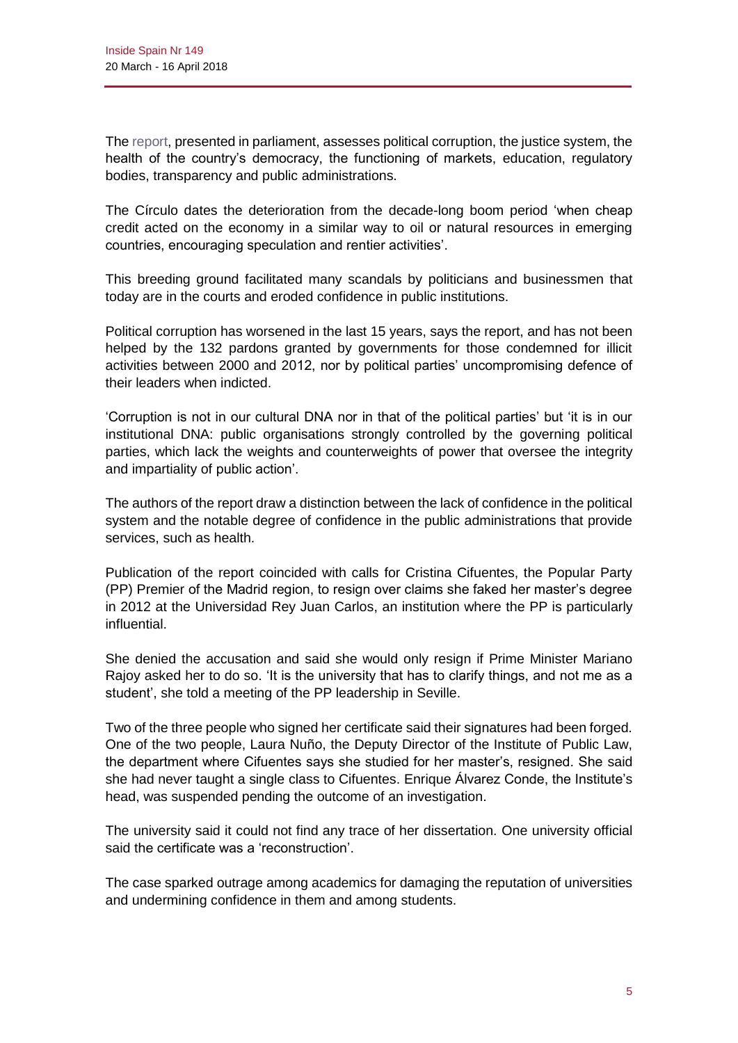Th[e report,](https://circuloreportdeempresarios.org/app/uploads/2018/04/Calidad-insti-CdE-) presented in parliament, assesses political corruption, the justice system, the health of the country's democracy, the functioning of markets, education, regulatory bodies, transparency and public administrations.

The Círculo dates the deterioration from the decade-long boom period 'when cheap credit acted on the economy in a similar way to oil or natural resources in emerging countries, encouraging speculation and rentier activities'.

This breeding ground facilitated many scandals by politicians and businessmen that today are in the courts and eroded confidence in public institutions.

Political corruption has worsened in the last 15 years, says the report, and has not been helped by the 132 pardons granted by governments for those condemned for illicit activities between 2000 and 2012, nor by political parties' uncompromising defence of their leaders when indicted.

'Corruption is not in our cultural DNA nor in that of the political parties' but 'it is in our institutional DNA: public organisations strongly controlled by the governing political parties, which lack the weights and counterweights of power that oversee the integrity and impartiality of public action'.

The authors of the report draw a distinction between the lack of confidence in the political system and the notable degree of confidence in the public administrations that provide services, such as health.

Publication of the report coincided with calls for Cristina Cifuentes, the Popular Party (PP) Premier of the Madrid region, to resign over claims she faked her master's degree in 2012 at the Universidad Rey Juan Carlos, an institution where the PP is particularly influential.

She denied the accusation and said she would only resign if Prime Minister Mariano Rajoy asked her to do so. 'It is the university that has to clarify things, and not me as a student', she told a meeting of the PP leadership in Seville.

Two of the three people who signed her certificate said their signatures had been forged. One of the two people, Laura Nuño, the Deputy Director of the Institute of Public Law, the department where Cifuentes says she studied for her master's, resigned. She said she had never taught a single class to Cifuentes. Enrique Álvarez Conde, the Institute's head, was suspended pending the outcome of an investigation.

The university said it could not find any trace of her dissertation. One university official said the certificate was a 'reconstruction'.

The case sparked outrage among academics for damaging the reputation of universities and undermining confidence in them and among students.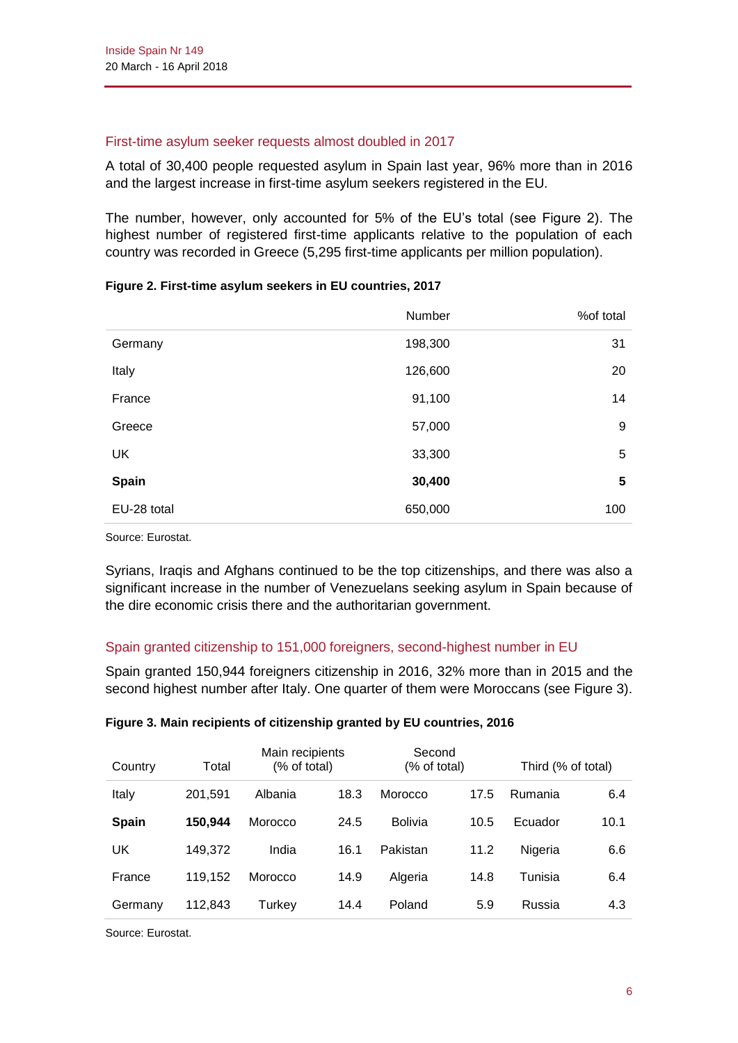#### First-time asylum seeker requests almost doubled in 2017

A total of 30,400 people requested asylum in Spain last year, 96% more than in 2016 and the largest increase in first-time asylum seekers registered in the EU.

The number, however, only accounted for 5% of the EU's total (see Figure 2). The highest number of registered first-time applicants relative to the population of each country was recorded in Greece (5,295 first-time applicants per million population).

|              | Number  | %of total |
|--------------|---------|-----------|
| Germany      | 198,300 | 31        |
| Italy        | 126,600 | 20        |
| France       | 91,100  | 14        |
| Greece       | 57,000  | 9         |
| <b>UK</b>    | 33,300  | 5         |
| <b>Spain</b> | 30,400  | 5         |
| EU-28 total  | 650,000 | 100       |

#### **Figure 2. First-time asylum seekers in EU countries, 2017**

Source: Eurostat.

Syrians, Iraqis and Afghans continued to be the top citizenships, and there was also a significant increase in the number of Venezuelans seeking asylum in Spain because of the dire economic crisis there and the authoritarian government.

## Spain granted citizenship to 151,000 foreigners, second-highest number in EU

Spain granted 150,944 foreigners citizenship in 2016, 32% more than in 2015 and the second highest number after Italy. One quarter of them were Moroccans (see Figure 3).

| Country      | Total   | Main recipients<br>(% of total) |      | Second<br>(% of total) |      | Third (% of total) |      |
|--------------|---------|---------------------------------|------|------------------------|------|--------------------|------|
| Italy        | 201,591 | Albania                         | 18.3 | Morocco                | 17.5 | Rumania            | 6.4  |
| <b>Spain</b> | 150.944 | Morocco                         | 24.5 | <b>Bolivia</b>         | 10.5 | Ecuador            | 10.1 |
| UK           | 149,372 | India                           | 16.1 | Pakistan               | 11.2 | Nigeria            | 6.6  |
| France       | 119.152 | Morocco                         | 14.9 | Algeria                | 14.8 | Tunisia            | 6.4  |
| Germany      | 112,843 | Turkey                          | 14.4 | Poland                 | 5.9  | Russia             | 4.3  |

## **Figure 3. Main recipients of citizenship granted by EU countries, 2016**

Source: Eurostat.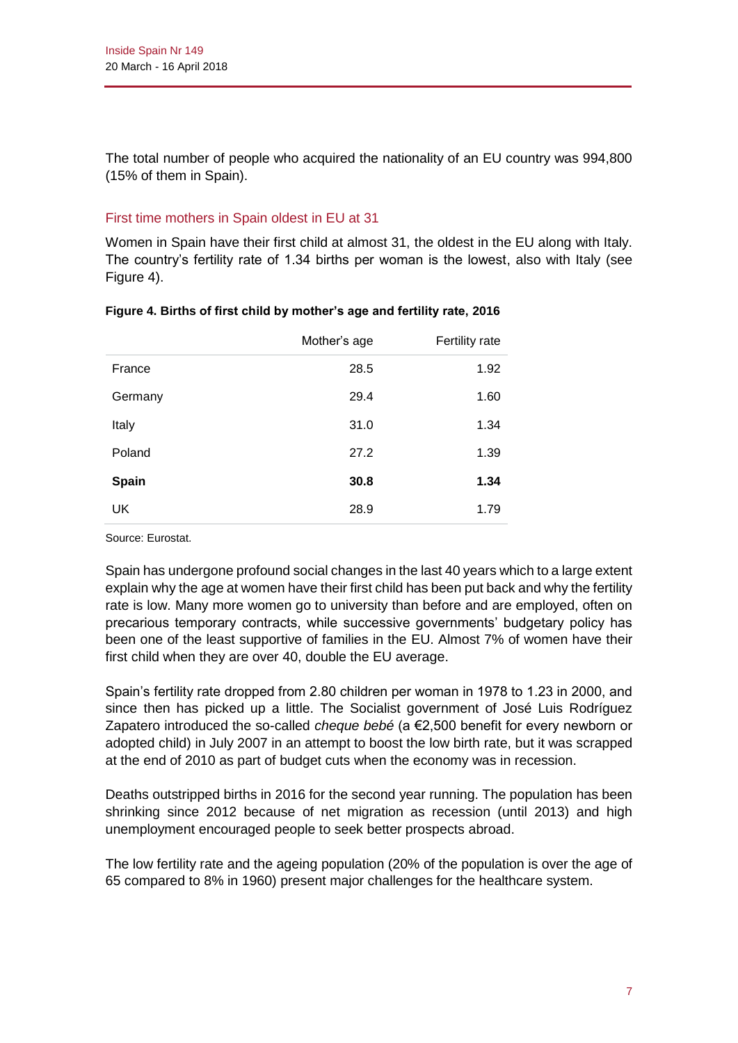The total number of people who acquired the nationality of an EU country was 994,800 (15% of them in Spain).

# First time mothers in Spain oldest in EU at 31

Women in Spain have their first child at almost 31, the oldest in the EU along with Italy. The country's fertility rate of 1.34 births per woman is the lowest, also with Italy (see Figure 4).

|              | Mother's age | Fertility rate |
|--------------|--------------|----------------|
| France       | 28.5         | 1.92           |
| Germany      | 29.4         | 1.60           |
| Italy        | 31.0         | 1.34           |
| Poland       | 27.2         | 1.39           |
| <b>Spain</b> | 30.8         | 1.34           |
| <b>UK</b>    | 28.9         | 1.79           |

## **Figure 4. Births of first child by mother's age and fertility rate, 2016**

Source: Eurostat.

Spain has undergone profound social changes in the last 40 years which to a large extent explain why the age at women have their first child has been put back and why the fertility rate is low. Many more women go to university than before and are employed, often on precarious temporary contracts, while successive governments' budgetary policy has been one of the least supportive of families in the EU. Almost 7% of women have their first child when they are over 40, double the EU average.

Spain's fertility rate dropped from 2.80 children per woman in 1978 to 1.23 in 2000, and since then has picked up a little. The Socialist government of José Luis Rodríguez Zapatero introduced the so-called *cheque bebé* (a €2,500 benefit for every newborn or adopted child) in July 2007 in an attempt to boost the low birth rate, but it was scrapped at the end of 2010 as part of budget cuts when the economy was in recession.

Deaths outstripped births in 2016 for the second year running. The population has been shrinking since 2012 because of net migration as recession (until 2013) and high unemployment encouraged people to seek better prospects abroad.

The low fertility rate and the ageing population (20% of the population is over the age of 65 compared to 8% in 1960) present major challenges for the healthcare system.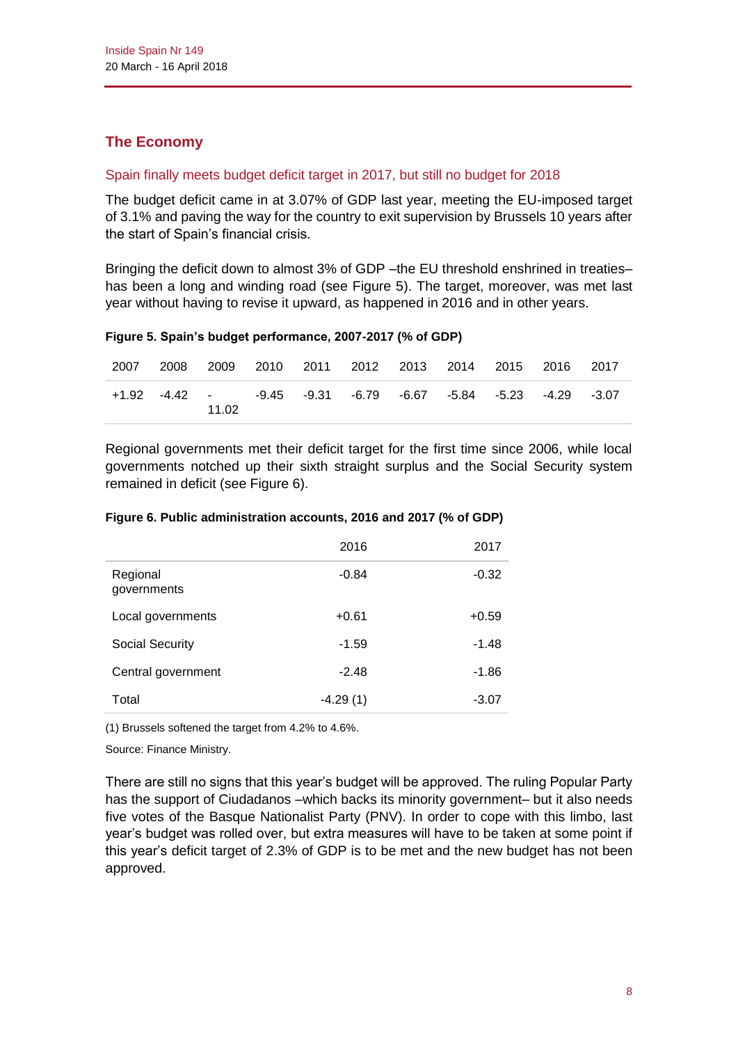# **The Economy**

# Spain finally meets budget deficit target in 2017, but still no budget for 2018

The budget deficit came in at 3.07% of GDP last year, meeting the EU-imposed target of 3.1% and paving the way for the country to exit supervision by Brussels 10 years after the start of Spain's financial crisis.

Bringing the deficit down to almost 3% of GDP –the EU threshold enshrined in treaties– has been a long and winding road (see Figure 5). The target, moreover, was met last year without having to revise it upward, as happened in 2016 and in other years.

| Figure 5. Spain's budget performance, 2007-2017 (% of GDP) |  |  |
|------------------------------------------------------------|--|--|
|                                                            |  |  |

| 2007 | 2008 |       |  | 2009 2010 2011 2012 2013 2014 2015 2016 2017                  |  |  |  |
|------|------|-------|--|---------------------------------------------------------------|--|--|--|
|      |      | 11.02 |  | +1.92 -4.42 - -9.45 -9.31 -6.79 -6.67 -5.84 -5.23 -4.29 -3.07 |  |  |  |

Regional governments met their deficit target for the first time since 2006, while local governments notched up their sixth straight surplus and the Social Security system remained in deficit (see Figure 6).

|                         | 2016       | 2017    |
|-------------------------|------------|---------|
| Regional<br>governments | $-0.84$    | $-0.32$ |
| Local governments       | $+0.61$    | $+0.59$ |
| <b>Social Security</b>  | $-1.59$    | $-1.48$ |
| Central government      | $-2.48$    | $-1.86$ |
| Total                   | $-4.29(1)$ | $-3.07$ |

#### **Figure 6. Public administration accounts, 2016 and 2017 (% of GDP)**

(1) Brussels softened the target from 4.2% to 4.6%.

Source: Finance Ministry.

There are still no signs that this year's budget will be approved. The ruling Popular Party has the support of Ciudadanos –which backs its minority government– but it also needs five votes of the Basque Nationalist Party (PNV). In order to cope with this limbo, last year's budget was rolled over, but extra measures will have to be taken at some point if this year's deficit target of 2.3% of GDP is to be met and the new budget has not been approved.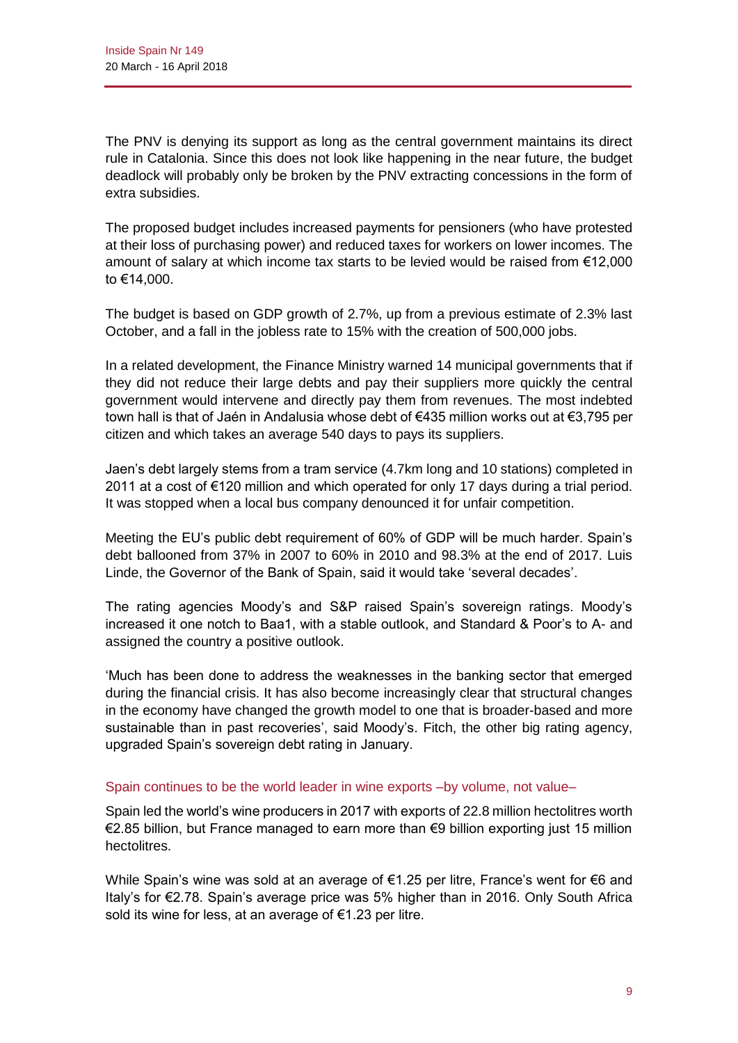The PNV is denying its support as long as the central government maintains its direct rule in Catalonia. Since this does not look like happening in the near future, the budget deadlock will probably only be broken by the PNV extracting concessions in the form of extra subsidies.

The proposed budget includes increased payments for pensioners (who have protested at their loss of purchasing power) and reduced taxes for workers on lower incomes. The amount of salary at which income tax starts to be levied would be raised from €12,000 to €14,000.

The budget is based on GDP growth of 2.7%, up from a previous estimate of 2.3% last October, and a fall in the jobless rate to 15% with the creation of 500,000 jobs.

In a related development, the Finance Ministry warned 14 municipal governments that if they did not reduce their large debts and pay their suppliers more quickly the central government would intervene and directly pay them from revenues. The most indebted town hall is that of Jaén in Andalusia whose debt of €435 million works out at €3,795 per citizen and which takes an average 540 days to pays its suppliers.

Jaen's debt largely stems from a tram service (4.7km long and 10 stations) completed in 2011 at a cost of €120 million and which operated for only 17 days during a trial period. It was stopped when a local bus company denounced it for unfair competition.

Meeting the EU's public debt requirement of 60% of GDP will be much harder. Spain's debt ballooned from 37% in 2007 to 60% in 2010 and 98.3% at the end of 2017. Luis Linde, the Governor of the Bank of Spain, said it would take 'several decades'.

The rating agencies Moody's and S&P raised Spain's sovereign ratings. Moody's increased it one notch to Baa1, with a stable outlook, and Standard & Poor's to A- and assigned the country a positive outlook.

'Much has been done to address the weaknesses in the banking sector that emerged during the financial crisis. It has also become increasingly clear that structural changes in the economy have changed the growth model to one that is broader-based and more sustainable than in past recoveries', said Moody's. Fitch, the other big rating agency, upgraded Spain's sovereign debt rating in January.

## Spain continues to be the world leader in wine exports –by volume, not value–

Spain led the world's wine producers in 2017 with exports of 22.8 million hectolitres worth €2.85 billion, but France managed to earn more than €9 billion exporting just 15 million hectolitres.

While Spain's wine was sold at an average of €1.25 per litre, France's went for €6 and Italy's for €2.78. Spain's average price was 5% higher than in 2016. Only South Africa sold its wine for less, at an average of €1.23 per litre.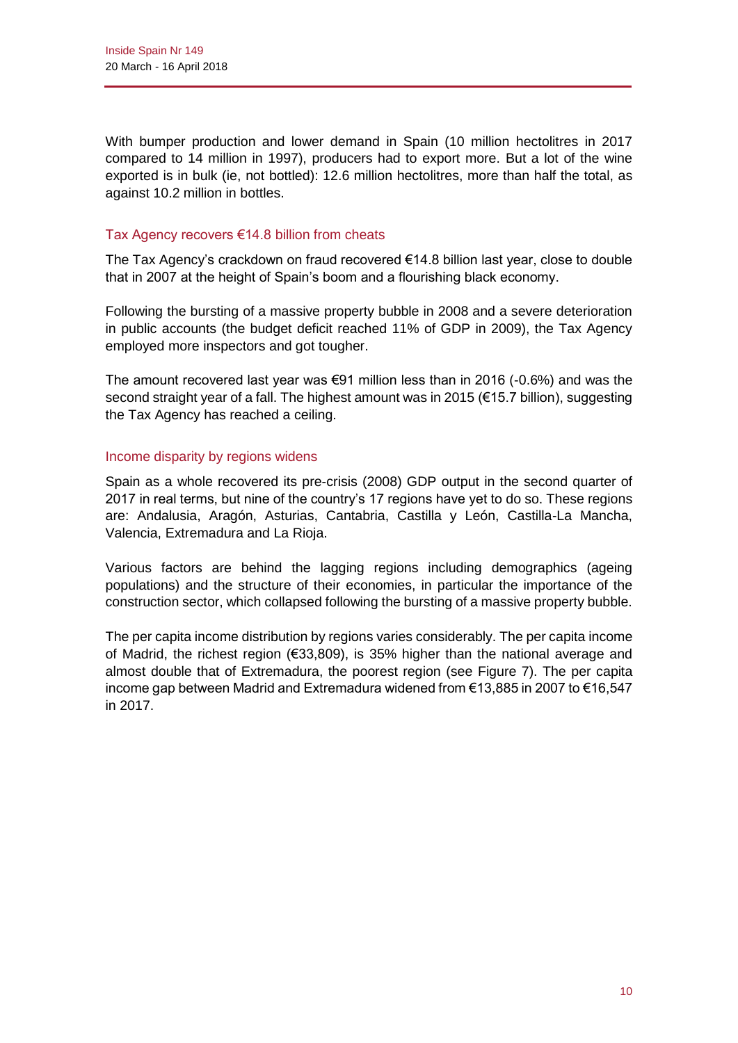With bumper production and lower demand in Spain (10 million hectolitres in 2017 compared to 14 million in 1997), producers had to export more. But a lot of the wine exported is in bulk (ie, not bottled): 12.6 million hectolitres, more than half the total, as against 10.2 million in bottles.

## Tax Agency recovers €14.8 billion from cheats

The Tax Agency's crackdown on fraud recovered  $€14.8$  billion last year, close to double that in 2007 at the height of Spain's boom and a flourishing black economy.

Following the bursting of a massive property bubble in 2008 and a severe deterioration in public accounts (the budget deficit reached 11% of GDP in 2009), the Tax Agency employed more inspectors and got tougher.

The amount recovered last year was  $\epsilon$ 91 million less than in 2016 (-0.6%) and was the second straight year of a fall. The highest amount was in 2015 (€15.7 billion), suggesting the Tax Agency has reached a ceiling.

#### Income disparity by regions widens

Spain as a whole recovered its pre-crisis (2008) GDP output in the second quarter of 2017 in real terms, but nine of the country's 17 regions have yet to do so. These regions are: Andalusia, Aragón, Asturias, Cantabria, Castilla y León, Castilla-La Mancha, Valencia, Extremadura and La Rioja.

Various factors are behind the lagging regions including demographics (ageing populations) and the structure of their economies, in particular the importance of the construction sector, which collapsed following the bursting of a massive property bubble.

The per capita income distribution by regions varies considerably. The per capita income of Madrid, the richest region (€33,809), is 35% higher than the national average and almost double that of Extremadura, the poorest region (see Figure 7). The per capita income gap between Madrid and Extremadura widened from €13,885 in 2007 to €16,547 in 2017.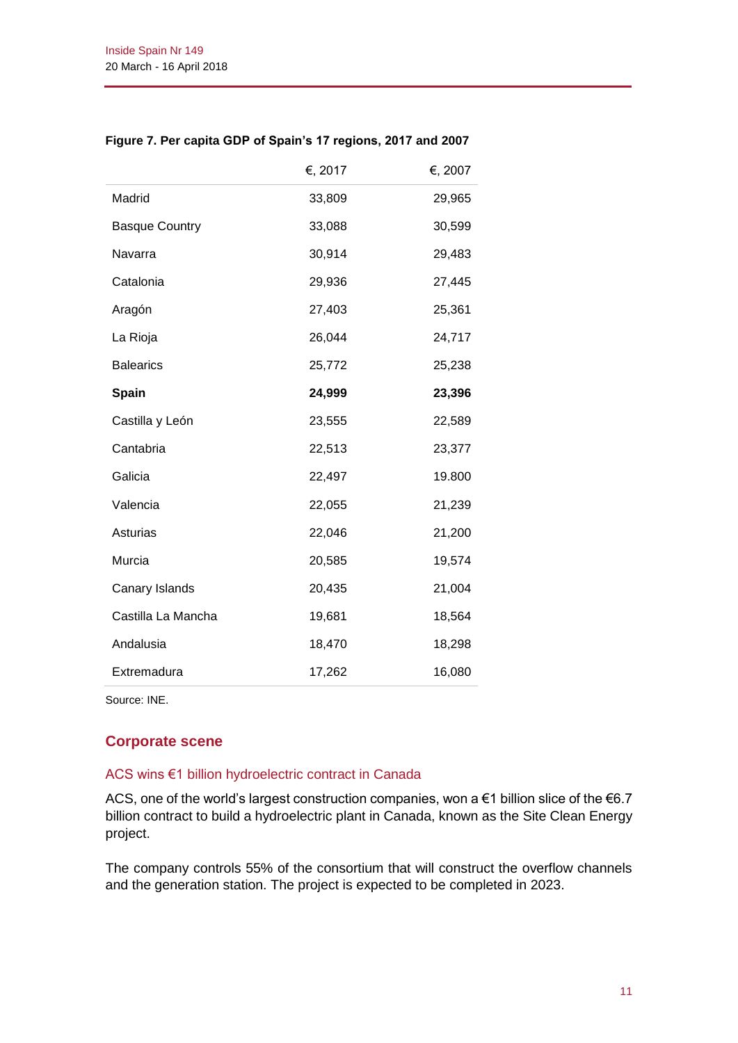|                       | €, 2017 | €, 2007 |
|-----------------------|---------|---------|
| Madrid                | 33,809  | 29,965  |
| <b>Basque Country</b> | 33,088  | 30,599  |
| Navarra               | 30,914  | 29,483  |
| Catalonia             | 29,936  | 27,445  |
| Aragón                | 27,403  | 25,361  |
| La Rioja              | 26,044  | 24,717  |
| <b>Balearics</b>      | 25,772  | 25,238  |
| Spain                 | 24,999  | 23,396  |
| Castilla y León       | 23,555  | 22,589  |
| Cantabria             | 22,513  | 23,377  |
| Galicia               | 22,497  | 19.800  |
| Valencia              | 22,055  | 21,239  |
| Asturias              | 22,046  | 21,200  |
| Murcia                | 20,585  | 19,574  |
| Canary Islands        | 20,435  | 21,004  |
| Castilla La Mancha    | 19,681  | 18,564  |
| Andalusia             | 18,470  | 18,298  |
| Extremadura           | 17,262  | 16,080  |

#### **Figure 7. Per capita GDP of Spain's 17 regions, 2017 and 2007**

Source: INE.

# **Corporate scene**

#### ACS wins €1 billion hydroelectric contract in Canada

ACS, one of the world's largest construction companies, won a €1 billion slice of the €6.7 billion contract to build a hydroelectric plant in Canada, known as the Site Clean Energy project.

The company controls 55% of the consortium that will construct the overflow channels and the generation station. The project is expected to be completed in 2023.